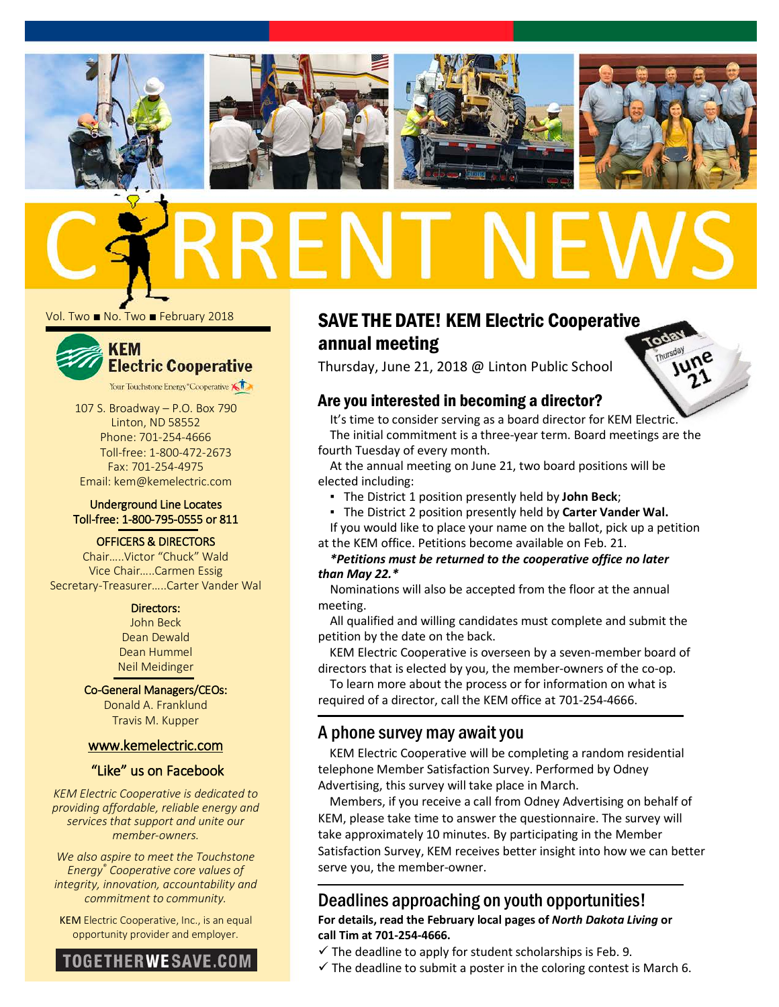

Vol. Two ■ No. Two ■ February 2018



107 S. Broadway – P.O. Box 790 Linton, ND 58552 Phone: 701-254-4666 Toll-free: 1-800-472-2673 Fax: 701-254-4975 Email: kem@kemelectric.com

#### Underground Line Locates Toll-free: 1-800-795-0555 or 811

#### OFFICERS & DIRECTORS

Chair…..Victor "Chuck" Wald Vice Chair…..Carmen Essig Secretary-Treasurer…..Carter Vander Wal

#### Directors:

John Beck Dean Dewald Dean Hummel Neil Meidinger

#### Co-General Managers/CEOs:

Donald A. Franklund Travis M. Kupper

#### [www.kemelectric.com](http://www.kemelectric.com/)

#### "Like" us on Facebook

*KEM Electric Cooperative is dedicated to providing affordable, reliable energy and services that support and unite our member-owners.*

*We also aspire to meet the Touchstone Energy® Cooperative core values of integrity, innovation, accountability and commitment to community.*

KEM Electric Cooperative, Inc., is an equal opportunity provider and employer.



# SAVE THE DATE! KEM Electric Cooperative annual meeting

Thursday, June 21, 2018 @ Linton Public School

### Are you interested in becoming a director?

It's time to consider serving as a board director for KEM Electric. The initial commitment is a three-year term. Board meetings are the fourth Tuesday of every month.

At the annual meeting on June 21, two board positions will be elected including:

- The District 1 position presently held by **John Beck**;
- The District 2 position presently held by **Carter Vander Wal.**

If you would like to place your name on the ballot, pick up a petition at the KEM office. Petitions become available on Feb. 21.

#### *\*Petitions must be returned to the cooperative office no later than May 22.\**

Nominations will also be accepted from the floor at the annual meeting.

All qualified and willing candidates must complete and submit the petition by the date on the back.

KEM Electric Cooperative is overseen by a seven-member board of directors that is elected by you, the member-owners of the co-op.

To learn more about the process or for information on what is required of a director, call the KEM office at 701-254-4666.

## A phone survey may await you

KEM Electric Cooperative will be completing a random residential telephone Member Satisfaction Survey. Performed by Odney Advertising, this survey will take place in March.

Members, if you receive a call from Odney Advertising on behalf of KEM, please take time to answer the questionnaire. The survey will take approximately 10 minutes. By participating in the Member Satisfaction Survey, KEM receives better insight into how we can better serve you, the member-owner.

## Deadlines approaching on youth opportunities! **For details, read the February local pages of** *North Dakota Living* **or call Tim at 701-254-4666.**

- $\checkmark$  The deadline to apply for student scholarships is Feb. 9.
- $\checkmark$  The deadline to submit a poster in the coloring contest is March 6.